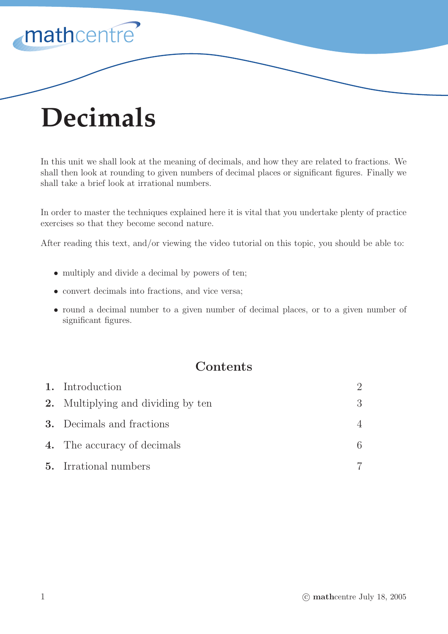

# **Decimals**

In this unit we shall look at the meaning of decimals, and how they are related to fractions. We shall then look at rounding to given numbers of decimal places or significant figures. Finally we shall take a brief look at irrational numbers.

In order to master the techniques explained here it is vital that you undertake plenty of practice exercises so that they become second nature.

After reading this text, and/or viewing the video tutorial on this topic, you should be able to:

- multiply and divide a decimal by powers of ten;
- convert decimals into fractions, and vice versa;
- round a decimal number to a given number of decimal places, or to a given number of significant figures.

## **Contents**

| 1. Introduction                           |   |
|-------------------------------------------|---|
| <b>2.</b> Multiplying and dividing by ten | 3 |
| <b>3.</b> Decimals and fractions          |   |
| 4. The accuracy of decimals               | 6 |
| <b>5.</b> Irrational numbers              |   |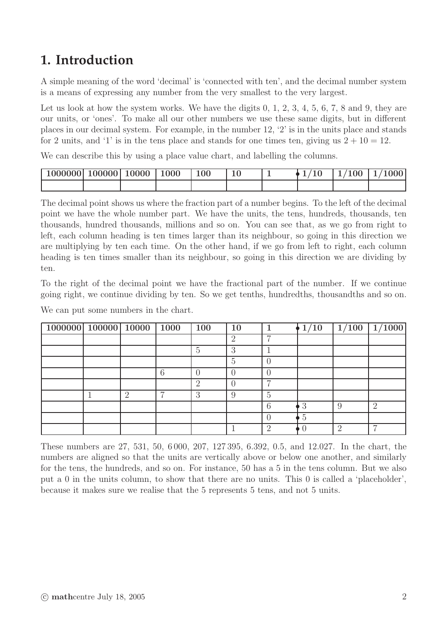## **1. Introduction**

A simple meaning of the word 'decimal' is 'connected with ten', and the decimal number system is a means of expressing any number from the very smallest to the very largest.

Let us look at how the system works. We have the digits  $0, 1, 2, 3, 4, 5, 6, 7, 8$  and  $9$ , they are our units, or 'ones'. To make all our other numbers we use these same digits, but in different places in our decimal system. For example, in the number 12, '2' is in the units place and stands for 2 units, and '1' is in the tens place and stands for one times ten, giving us  $2 + 10 = 12$ .

We can describe this by using a place value chart, and labelling the columns.

| $\mid$ 1000000   100000   10000 |  | 1000 | $\overline{00}$ |  | $1/100$   : | 1/1000 |
|---------------------------------|--|------|-----------------|--|-------------|--------|
|                                 |  |      |                 |  |             |        |

The decimal point shows us where the fraction part of a number begins. To the left of the decimal point we have the whole number part. We have the units, the tens, hundreds, thousands, ten thousands, hundred thousands, millions and so on. You can see that, as we go from right to left, each column heading is ten times larger than its neighbour, so going in this direction we are multiplying by ten each time. On the other hand, if we go from left to right, each column heading is ten times smaller than its neighbour, so going in this direction we are dividing by ten.

To the right of the decimal point we have the fractional part of the number. If we continue going right, we continue dividing by ten. So we get tenths, hundredths, thousandths and so on.

We can put some numbers in the chart.

| 1000000 100000 10000 1000 |          |   | 100 | 10 |   | 1/10 | $\overline{1}/100$ | $\boxed{1/1000}$ |
|---------------------------|----------|---|-----|----|---|------|--------------------|------------------|
|                           |          |   |     | റ  | − |      |                    |                  |
|                           |          |   | 5   | 9  |   |      |                    |                  |
|                           |          |   |     | h  |   |      |                    |                  |
|                           |          | 6 |     |    |   |      |                    |                  |
|                           |          |   | റ   |    |   |      |                    |                  |
|                           | $\Omega$ |   | 3   |    | 5 |      |                    |                  |
|                           |          |   |     |    | 6 | 3    |                    | $\overline{2}$   |
|                           |          |   |     |    |   | 5    |                    |                  |
|                           |          |   |     |    | റ |      |                    |                  |

These numbers are 27, 531, 50, 6 000, 207, 127 395, 6.392, 0.5, and 12.027. In the chart, the numbers are aligned so that the units are vertically above or below one another, and similarly for the tens, the hundreds, and so on. For instance, 50 has a 5 in the tens column. But we also put a 0 in the units column, to show that there are no units. This 0 is called a 'placeholder', because it makes sure we realise that the 5 represents 5 tens, and not 5 units.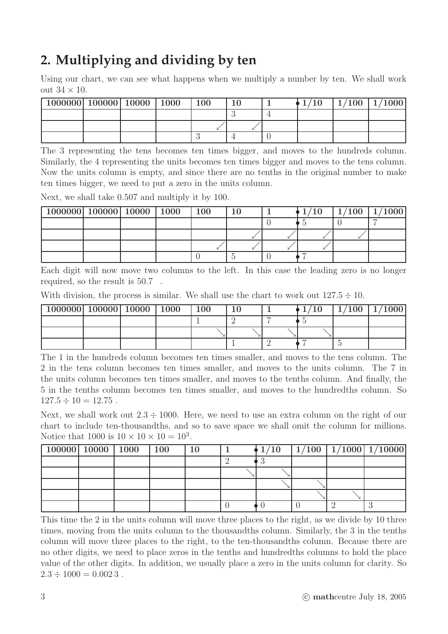# **2. Multiplying and dividing by ten**

Using our chart, we can see what happens when we multiply a number by ten. We shall work out  $34 \times 10$ .

| 1000000 100000 10000 1000 |  | <b>100</b> |  | 1/10 | $1/100$   $1/1000$ |
|---------------------------|--|------------|--|------|--------------------|
|                           |  |            |  |      |                    |
|                           |  |            |  |      |                    |
|                           |  |            |  |      |                    |

The 3 representing the tens becomes ten times bigger, and moves to the hundreds column. Similarly, the 4 representing the units becomes ten times bigger and moves to the tens column. Now the units column is empty, and since there are no tenths in the original number to make ten times bigger, we need to put a zero in the units column.

Next, we shall take 0.507 and multiply it by 100.

| $1000000$   100000   10000   1000   100 |  |  |  | 1/10 | $1/100$ $1/1000$ |
|-----------------------------------------|--|--|--|------|------------------|
|                                         |  |  |  |      |                  |
|                                         |  |  |  |      |                  |
|                                         |  |  |  |      |                  |
|                                         |  |  |  |      |                  |

Each digit will now move two columns to the left. In this case the leading zero is no longer required, so the result is 50.7 .

| With division, the process is similar. We shall use the chart to work out $127.5 \div 10$ . |  |  |  |  |  |  |  |  |
|---------------------------------------------------------------------------------------------|--|--|--|--|--|--|--|--|
|---------------------------------------------------------------------------------------------|--|--|--|--|--|--|--|--|

| 1000000 100000 10000 |  | 1000 | 100 |  | $/100\,$ | 1/1000 |
|----------------------|--|------|-----|--|----------|--------|
|                      |  |      |     |  |          |        |
|                      |  |      |     |  |          |        |
|                      |  |      |     |  |          |        |

The 1 in the hundreds column becomes ten times smaller, and moves to the tens column. The 2 in the tens column becomes ten times smaller, and moves to the units column. The 7 in the units column becomes ten times smaller, and moves to the tenths column. And finally, the 5 in the tenths column becomes ten times smaller, and moves to the hundredths column. So  $127.5 \div 10 = 12.75$ .

Next, we shall work out  $2.3 \div 1000$ . Here, we need to use an extra column on the right of our chart to include ten-thousandths, and so to save space we shall omit the column for millions. Notice that 1000 is  $10 \times 10 \times 10 = 10^3$ .

| $\boxed{100000}$   10000   1000   100 |  | 10 |  |  | $\big\downarrow 1/10$   $1/100$   $1/1000$   $1/10000$ |
|---------------------------------------|--|----|--|--|--------------------------------------------------------|
|                                       |  |    |  |  |                                                        |
|                                       |  |    |  |  |                                                        |
|                                       |  |    |  |  |                                                        |
|                                       |  |    |  |  |                                                        |
|                                       |  |    |  |  |                                                        |

This time the 2 in the units column will move three places to the right, as we divide by 10 three times, moving from the units column to the thousandths column. Similarly, the 3 in the tenths column will move three places to the right, to the ten-thousandths column. Because there are no other digits, we need to place zeros in the tenths and hundredths columns to hold the place value of the other digits. In addition, we usually place a zero in the units column for clarity. So  $2.3 \div 1000 = 0.0023$ .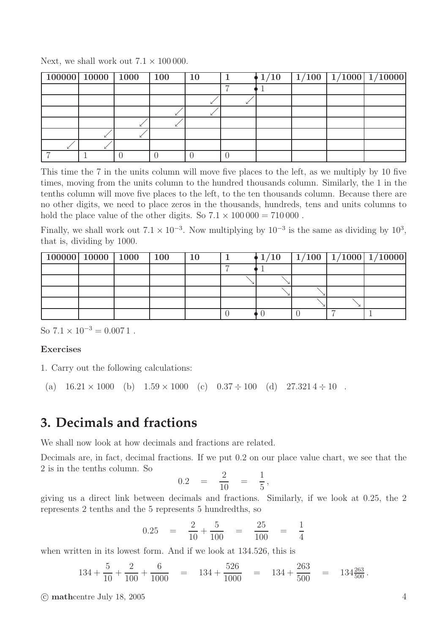| $100000$   10000   1000   100 |  | $\vert$ 10 |  |  | $\frac{1}{10}$ $\frac{1}{100}$ $\frac{1}{1000}$ $\frac{1}{10000}$ |
|-------------------------------|--|------------|--|--|-------------------------------------------------------------------|
|                               |  |            |  |  |                                                                   |
|                               |  |            |  |  |                                                                   |
|                               |  |            |  |  |                                                                   |
|                               |  |            |  |  |                                                                   |
|                               |  |            |  |  |                                                                   |
|                               |  |            |  |  |                                                                   |
|                               |  |            |  |  |                                                                   |

Next, we shall work out  $7.1 \times 100000$ .

This time the 7 in the units column will move five places to the left, as we multiply by 10 five times, moving from the units column to the hundred thousands column. Similarly, the 1 in the tenths column will move five places to the left, to the ten thousands column. Because there are no other digits, we need to place zeros in the thousands, hundreds, tens and units columns to hold the place value of the other digits. So  $7.1 \times 100\,000 = 710\,000$ .

Finally, we shall work out  $7.1 \times 10^{-3}$ . Now multiplying by  $10^{-3}$  is the same as dividing by  $10^3$ , that is, dividing by 1000.

| $100000$   10000   1000   100 |  |  |  |  | $1/10$   $1/100$   $1/1000$   $1/10000$ |
|-------------------------------|--|--|--|--|-----------------------------------------|
|                               |  |  |  |  |                                         |
|                               |  |  |  |  |                                         |
|                               |  |  |  |  |                                         |
|                               |  |  |  |  |                                         |
|                               |  |  |  |  |                                         |

So  $7.1 \times 10^{-3} = 0.0071$ .

#### Exercises

1. Carry out the following calculations:

(a)  $16.21 \times 1000$  (b)  $1.59 \times 1000$  (c)  $0.37 \div 100$  (d)  $27.3214 \div 10$ .

## **3. Decimals and fractions**

We shall now look at how decimals and fractions are related.

Decimals are, in fact, decimal fractions. If we put 0.2 on our place value chart, we see that the 2 is in the tenths column. So

$$
0.2 = \frac{2}{10} = \frac{1}{5}
$$

,

giving us a direct link between decimals and fractions. Similarly, if we look at 0.25, the 2 represents 2 tenths and the 5 represents 5 hundredths, so

$$
0.25 = \frac{2}{10} + \frac{5}{100} = \frac{25}{100} = \frac{1}{4}
$$

when written in its lowest form. And if we look at 134.526, this is

$$
134 + \frac{5}{10} + \frac{2}{100} + \frac{6}{1000} = 134 + \frac{526}{1000} = 134 + \frac{263}{500} = 134\frac{263}{500}.
$$

 $\odot$  mathcentre July 18, 2005 4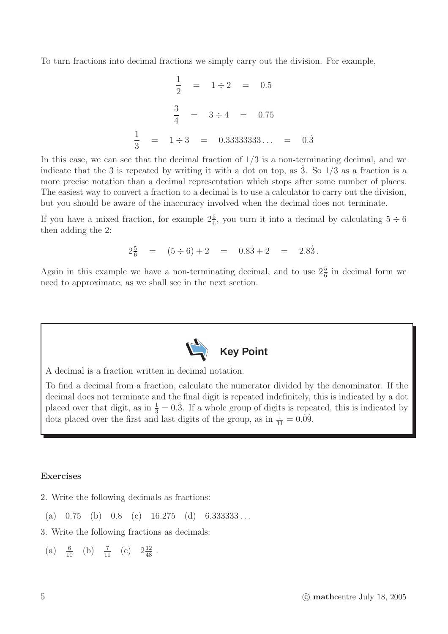To turn fractions into decimal fractions we simply carry out the division. For example,

$$
\frac{1}{2} = 1 \div 2 = 0.5
$$
  

$$
\frac{3}{4} = 3 \div 4 = 0.75
$$
  

$$
\frac{1}{3} = 1 \div 3 = 0.33333333...
$$
 = 0.3

In this case, we can see that the decimal fraction of  $1/3$  is a non-terminating decimal, and we indicate that the 3 is repeated by writing it with a dot on top, as 3. So  $1/3$  as a fraction is a more precise notation than a decimal representation which stops after some number of places. The easiest way to convert a fraction to a decimal is to use a calculator to carry out the division, but you should be aware of the inaccuracy involved when the decimal does not terminate.

If you have a mixed fraction, for example  $2\frac{5}{6}$ , you turn it into a decimal by calculating  $5 \div 6$ then adding the 2:

$$
2\frac{5}{6} = (5 \div 6) + 2 = 0.8\dot{3} + 2 = 2.8\dot{3}.
$$

Again in this example we have a non-terminating decimal, and to use  $2\frac{5}{6}$  in decimal form we need to approximate, as we shall see in the next section.



A decimal is a fraction written in decimal notation.

To find a decimal from a fraction, calculate the numerator divided by the denominator. If the decimal does not terminate and the final digit is repeated indefinitely, this is indicated by a dot placed over that digit, as in  $\frac{1}{3} = 0.\overline{3}$ . If a whole group of digits is repeated, this is indicated by dots placed over the first and last digits of the group, as in  $\frac{1}{11} = 0.\dot{0}\dot{9}$ .

#### Exercises

- 2. Write the following decimals as fractions:
	- (a)  $0.75$  (b)  $0.8$  (c)  $16.275$  (d)  $6.3333333...$
- 3. Write the following fractions as decimals:
- (a)  $\frac{6}{10}$  (b)  $\frac{7}{11}$  (c)  $2\frac{12}{48}$ .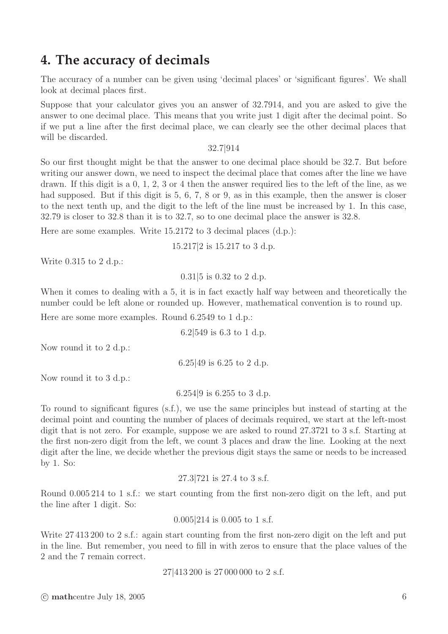### **4. The accuracy of decimals**

The accuracy of a number can be given using 'decimal places' or 'significant figures'. We shall look at decimal places first.

Suppose that your calculator gives you an answer of 32.7914, and you are asked to give the answer to one decimal place. This means that you write just 1 digit after the decimal point. So if we put a line after the first decimal place, we can clearly see the other decimal places that will be discarded.

32.7|914

So our first thought might be that the answer to one decimal place should be 32.7. But before writing our answer down, we need to inspect the decimal place that comes after the line we have drawn. If this digit is a 0, 1, 2, 3 or 4 then the answer required lies to the left of the line, as we had supposed. But if this digit is 5, 6, 7, 8 or 9, as in this example, then the answer is closer to the next tenth up, and the digit to the left of the line must be increased by 1. In this case, 32.79 is closer to 32.8 than it is to 32.7, so to one decimal place the answer is 32.8.

Here are some examples. Write 15.2172 to 3 decimal places (d.p.):

15.217|2 is 15.217 to 3 d.p.

Write 0.315 to 2 d.p.:

0.31|5 is 0.32 to 2 d.p.

When it comes to dealing with a 5, it is in fact exactly half way between and theoretically the number could be left alone or rounded up. However, mathematical convention is to round up.

Here are some more examples. Round 6.2549 to 1 d.p.:

6.2|549 is 6.3 to 1 d.p.

Now round it to 2 d.p.:

6.25|49 is 6.25 to 2 d.p.

Now round it to 3 d.p.:

6.254|9 is 6.255 to 3 d.p.

To round to significant figures (s.f.), we use the same principles but instead of starting at the decimal point and counting the number of places of decimals required, we start at the left-most digit that is not zero. For example, suppose we are asked to round 27.3721 to 3 s.f. Starting at the first non-zero digit from the left, we count 3 places and draw the line. Looking at the next digit after the line, we decide whether the previous digit stays the same or needs to be increased by 1. So:

27.3|721 is 27.4 to 3 s.f.

Round 0.005 214 to 1 s.f.: we start counting from the first non-zero digit on the left, and put the line after 1 digit. So:

0.005|214 is 0.005 to 1 s.f.

Write 27 413 200 to 2 s.f.: again start counting from the first non-zero digit on the left and put in the line. But remember, you need to fill in with zeros to ensure that the place values of the 2 and the 7 remain correct.

27|413 200 is 27 000 000 to 2 s.f.